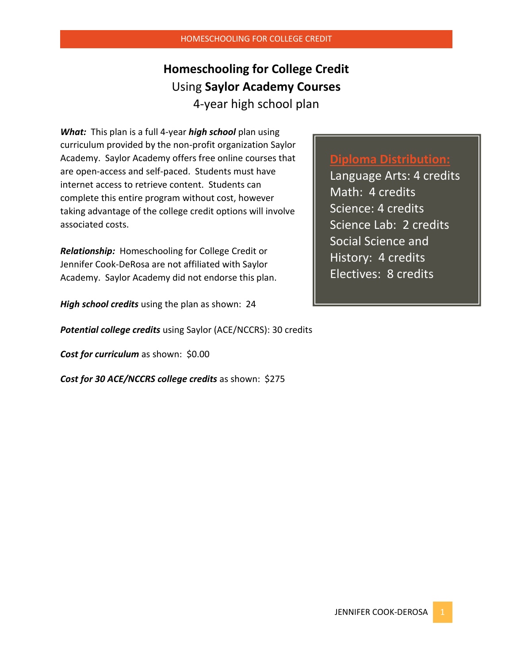## **Homeschooling for College Credit**  Using **Saylor Academy Courses** 4-year high school plan

*What:* This plan is a full 4-year *high school* plan using curriculum provided by the non-profit organization Saylor Academy. Saylor Academy offers free online courses that are open-access and self-paced. Students must have internet access to retrieve content. Students can complete this entire program without cost, however taking advantage of the college credit options will involve associated costs.

*Relationship:* Homeschooling for College Credit or Jennifer Cook-DeRosa are not affiliated with Saylor Academy. Saylor Academy did not endorse this plan.

*High school credits* using the plan as shown: 24

*Potential college credits* using Saylor (ACE/NCCRS): 30 credits

*Cost for curriculum* as shown: \$0.00

*Cost for 30 ACE/NCCRS college credits* as shown: \$275

### **Diploma Distribution:**

Language Arts: 4 credits Math: 4 credits Science: 4 credits Science Lab: 2 credits Social Science and History: 4 credits Electives: 8 credits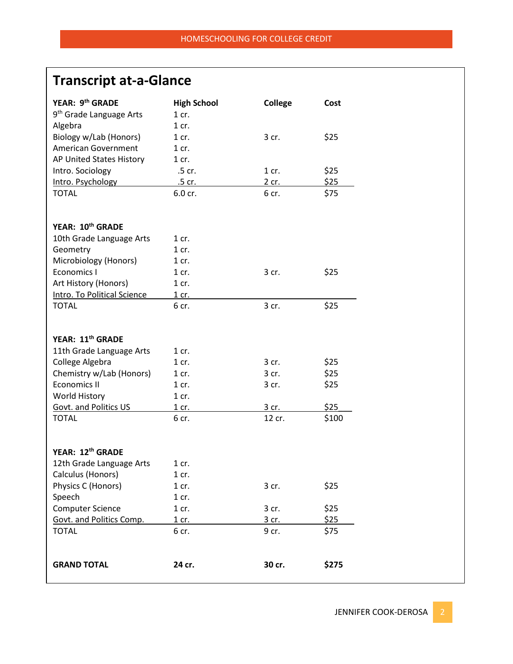# **Transcript at-a-Glance**

| YEAR: 9 <sup>th</sup> GRADE         | <b>High School</b> | <b>College</b> | Cost  |
|-------------------------------------|--------------------|----------------|-------|
| 9 <sup>th</sup> Grade Language Arts | $1$ cr.            |                |       |
| Algebra                             | $1$ cr.            |                |       |
| Biology w/Lab (Honors)              | $1$ cr.            | 3 cr.          | \$25  |
| <b>American Government</b>          | $1$ cr.            |                |       |
| AP United States History            | $1$ cr.            |                |       |
| Intro. Sociology                    | .5 cr.             | $1$ cr.        | \$25  |
| Intro. Psychology                   | .5 cr.             | 2 cr.          | \$25  |
| <b>TOTAL</b>                        | 6.0 cr.            | 6 cr.          | \$75  |
|                                     |                    |                |       |
| YEAR: 10 <sup>th</sup> GRADE        |                    |                |       |
| 10th Grade Language Arts            | $1$ cr.            |                |       |
| Geometry                            | $1$ cr.            |                |       |
| Microbiology (Honors)               | $1$ cr.            |                |       |
| <b>Economics I</b>                  | $1$ cr.            | 3 cr.          | \$25  |
| Art History (Honors)                | $1$ cr.            |                |       |
| Intro. To Political Science         | 1 cr.              |                |       |
| <b>TOTAL</b>                        | 6 cr.              | 3 cr.          | \$25  |
|                                     |                    |                |       |
|                                     |                    |                |       |
| YEAR: 11 <sup>th</sup> GRADE        |                    |                |       |
| 11th Grade Language Arts            | 1 cr.              |                |       |
| College Algebra                     | $1$ cr.            | 3 cr.          | \$25  |
| Chemistry w/Lab (Honors)            | $1$ cr.            | 3 cr.          | \$25  |
| <b>Economics II</b>                 | $1$ cr.            | 3 cr.          | \$25  |
| <b>World History</b>                | 1 cr.              |                |       |
| Govt. and Politics US               | $1$ cr.            | 3 cr.          | \$25  |
| <b>TOTAL</b>                        | 6 cr.              | 12 cr.         | \$100 |
|                                     |                    |                |       |
| YEAR: 12 <sup>th</sup> GRADE        |                    |                |       |
| 12th Grade Language Arts            | 1 cr.              |                |       |
| Calculus (Honors)                   | $1$ cr.            |                |       |
| Physics C (Honors)                  | $1$ cr.            | 3 cr.          | \$25  |
| Speech                              | 1 cr.              |                |       |
| <b>Computer Science</b>             | $1$ cr.            | 3 cr.          | \$25  |
| Govt. and Politics Comp.            | 1 cr.              | 3 cr.          | \$25  |
| <b>TOTAL</b>                        | 6 cr.              | 9 cr.          | \$75  |
|                                     |                    |                |       |
|                                     |                    |                |       |
| <b>GRAND TOTAL</b>                  | 24 cr.             | 30 cr.         | \$275 |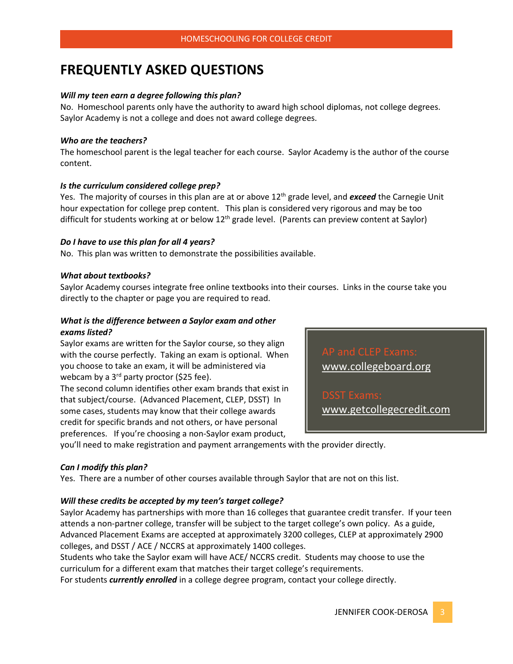## **FREQUENTLY ASKED QUESTIONS**

#### *Will my teen earn a degree following this plan?*

No. Homeschool parents only have the authority to award high school diplomas, not college degrees. Saylor Academy is not a college and does not award college degrees.

#### *Who are the teachers?*

The homeschool parent is the legal teacher for each course. Saylor Academy is the author of the course content.

#### *Is the curriculum considered college prep?*

Yes. The majority of courses in this plan are at or above 12th grade level, and *exceed* the Carnegie Unit hour expectation for college prep content. This plan is considered very rigorous and may be too difficult for students working at or below 12<sup>th</sup> grade level. (Parents can preview content at Saylor)

#### *Do I have to use this plan for all 4 years?*

No. This plan was written to demonstrate the possibilities available.

#### *What about textbooks?*

Saylor Academy courses integrate free online textbooks into their courses. Links in the course take you directly to the chapter or page you are required to read.

#### *What is the difference between a Saylor exam and other exams listed?*

Saylor exams are written for the Saylor course, so they align with the course perfectly. Taking an exam is optional. When you choose to take an exam, it will be administered via webcam by a 3<sup>rd</sup> party proctor (\$25 fee).

The second column identifies other exam brands that exist in that subject/course. (Advanced Placement, CLEP, DSST) In some cases, students may know that their college awards credit for specific brands and not others, or have personal preferences. If you're choosing a non-Saylor exam product,

[www.collegeboard.org](http://www.collegeboard.org/)  $ST$  Exams: www.getcollegecredit.com

you'll need to make registration and payment arrangements with the provider directly.

#### *Can I modify this plan?*

Yes. There are a number of other courses available through Saylor that are not on this list.

#### *Will these credits be accepted by my teen's target college?*

Saylor Academy has partnerships with more than 16 colleges that guarantee credit transfer. If your teen attends a non-partner college, transfer will be subject to the target college's own policy. As a guide, Advanced Placement Exams are accepted at approximately 3200 colleges, CLEP at approximately 2900 colleges, and DSST / ACE / NCCRS at approximately 1400 colleges.

Students who take the Saylor exam will have ACE/ NCCRS credit. Students may choose to use the curriculum for a different exam that matches their target college's requirements.

For students *currently enrolled* in a college degree program, contact your college directly.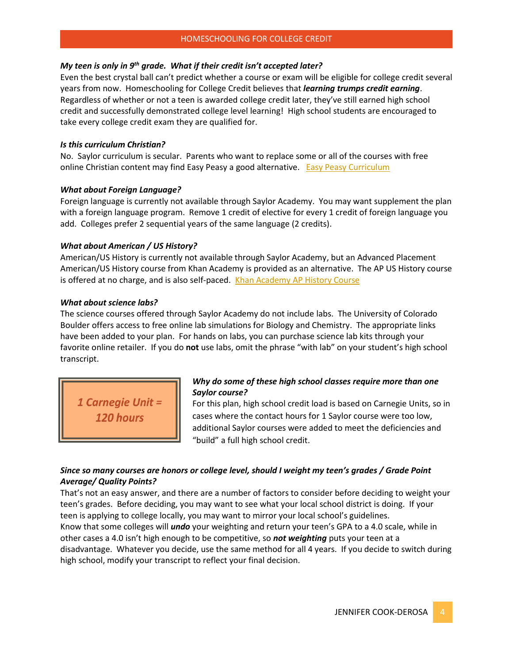#### *My teen is only in 9th grade. What if their credit isn't accepted later?*

Even the best crystal ball can't predict whether a course or exam will be eligible for college credit several years from now. Homeschooling for College Credit believes that *learning trumps credit earning*. Regardless of whether or not a teen is awarded college credit later, they've still earned high school credit and successfully demonstrated college level learning! High school students are encouraged to take every college credit exam they are qualified for.

#### *Is this curriculum Christian?*

No. Saylor curriculum is secular. Parents who want to replace some or all of the courses with free online Christian content may find Easy Peasy a good alternative. [Easy Peasy Curriculum](https://allinonehomeschool.com/)

#### *What about Foreign Language?*

Foreign language is currently not available through Saylor Academy. You may want supplement the plan with a foreign language program. Remove 1 credit of elective for every 1 credit of foreign language you add. Colleges prefer 2 sequential years of the same language (2 credits).

#### *What about American / US History?*

American/US History is currently not available through Saylor Academy, but an Advanced Placement American/US History course from Khan Academy is provided as an alternative. The AP US History course is offered at no charge, and is also self-paced. [Khan Academy AP History Course](https://www.khanacademy.org/humanities/us-history/ap-us-history)

#### *What about science labs?*

The science courses offered through Saylor Academy do not include labs. The University of Colorado Boulder offers access to free online lab simulations for Biology and Chemistry. The appropriate links have been added to your plan. For hands on labs, you can purchase science lab kits through your favorite online retailer. If you do **not** use labs, omit the phrase "with lab" on your student's high school transcript.

1 Carnegie Unit = **120 hours** 

#### *Why do some of these high school classes require more than one Saylor course?*

For this plan, high school credit load is based on Carnegie Units, so in cases where the contact hours for 1 Saylor course were too low, additional Saylor courses were added to meet the deficiencies and "build" a full high school credit.

#### *Since so many courses are honors or college level, should I weight my teen's grades / Grade Point Average/ Quality Points?*

That's not an easy answer, and there are a number of factors to consider before deciding to weight your teen's grades. Before deciding, you may want to see what your local school district is doing. If your teen is applying to college locally, you may want to mirror your local school's guidelines. Know that some colleges will *undo* your weighting and return your teen's GPA to a 4.0 scale, while in other cases a 4.0 isn't high enough to be competitive, so *not weighting* puts your teen at a disadvantage. Whatever you decide, use the same method for all 4 years. If you decide to switch during high school, modify your transcript to reflect your final decision.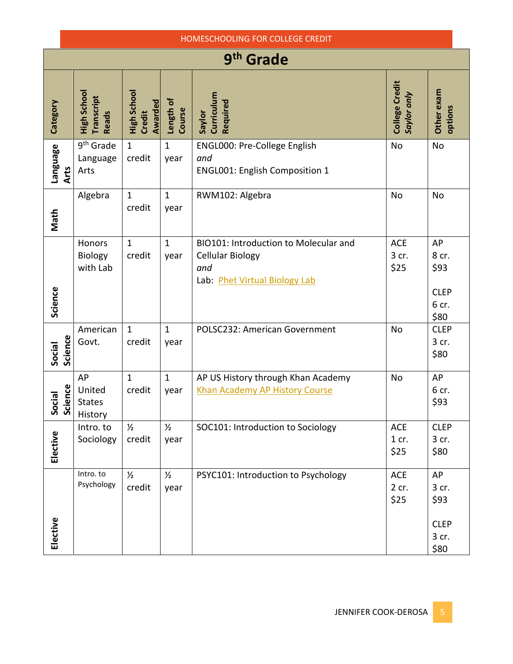| HOMESCHOOLING FOR COLLEGE CREDIT |                                           |                                                |                       |                                                                                                          |                               |                                                     |  |  |
|----------------------------------|-------------------------------------------|------------------------------------------------|-----------------------|----------------------------------------------------------------------------------------------------------|-------------------------------|-----------------------------------------------------|--|--|
| 9 <sup>th</sup> Grade            |                                           |                                                |                       |                                                                                                          |                               |                                                     |  |  |
| Category                         | High School<br>Transcript<br><b>Reads</b> | High School<br><b>Awarded</b><br><b>Credit</b> | Length of<br>Course   | Curriculum<br>Required<br>Saylor                                                                         | College Credit<br>Saylor only | Other exam<br>options                               |  |  |
| Language<br>Arts                 | 9 <sup>th</sup> Grade<br>Language<br>Arts | $\mathbf{1}$<br>credit                         | $\mathbf{1}$<br>year  | ENGL000: Pre-College English<br>and<br><b>ENGL001: English Composition 1</b>                             | <b>No</b>                     | No                                                  |  |  |
| Math                             | Algebra                                   | $\mathbf{1}$<br>credit                         | $\mathbf{1}$<br>year  | RWM102: Algebra                                                                                          | <b>No</b>                     | No                                                  |  |  |
| Science                          | Honors<br>Biology<br>with Lab             | $\mathbf{1}$<br>credit                         | $\mathbf{1}$<br>year  | BIO101: Introduction to Molecular and<br><b>Cellular Biology</b><br>and<br>Lab: Phet Virtual Biology Lab | <b>ACE</b><br>3 cr.<br>\$25   | AP<br>8 cr.<br>\$93<br><b>CLEP</b><br>6 cr.<br>\$80 |  |  |
| Science<br>Social                | American<br>Govt.                         | $\mathbf{1}$<br>credit                         | $\mathbf{1}$<br>year  | POLSC232: American Government                                                                            | <b>No</b>                     | <b>CLEP</b><br>3 cr.<br>\$80                        |  |  |
| ience<br>cial<br>ទី ទី           | AP<br>United<br><b>States</b><br>History  | $\mathbf{1}$<br>credit                         | $\mathbf{1}$<br>year  | AP US History through Khan Academy<br>Khan Academy AP History Course                                     | <b>No</b>                     | AP<br>6 cr.<br>\$93                                 |  |  |
| Elective                         | Intro. to<br>Sociology                    | $\frac{1}{2}$<br>credit                        | $\frac{1}{2}$<br>year | SOC101: Introduction to Sociology                                                                        | <b>ACE</b><br>$1$ cr.<br>\$25 | <b>CLEP</b><br>3 cr.<br>\$80                        |  |  |
| Elective                         | Intro. to<br>Psychology                   | $\frac{1}{2}$<br>credit                        | $\frac{1}{2}$<br>year | PSYC101: Introduction to Psychology                                                                      | ACE<br>2 cr.<br>\$25          | AP<br>3 cr.<br>\$93<br><b>CLEP</b><br>3 cr.<br>\$80 |  |  |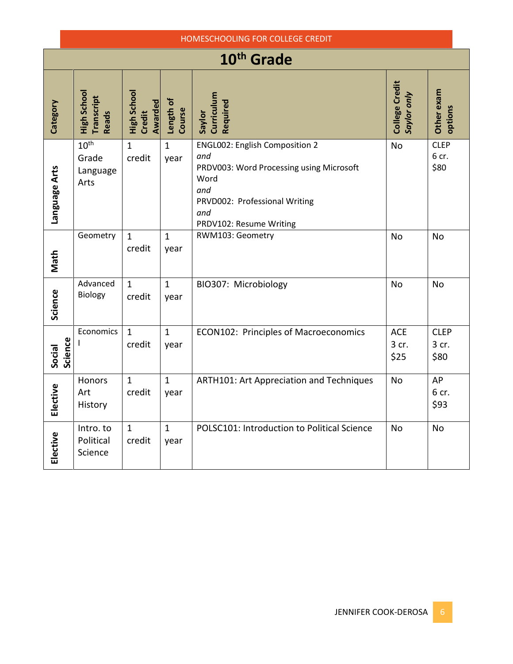|                        | HOMESCHOOLING FOR COLLEGE CREDIT              |                                         |                      |                                                                                                                                                                            |                               |                              |  |  |
|------------------------|-----------------------------------------------|-----------------------------------------|----------------------|----------------------------------------------------------------------------------------------------------------------------------------------------------------------------|-------------------------------|------------------------------|--|--|
| 10 <sup>th</sup> Grade |                                               |                                         |                      |                                                                                                                                                                            |                               |                              |  |  |
| Category               | High School<br>Transcript<br><b>Reads</b>     | High School<br><b>Awarded</b><br>Credit | Length of<br>Course  | Curriculum<br>Required<br>Saylor                                                                                                                                           | College Credit<br>Saylor only | Other exam<br>options        |  |  |
| Language Arts          | 10 <sup>th</sup><br>Grade<br>Language<br>Arts | $\mathbf{1}$<br>credit                  | $\mathbf{1}$<br>year | <b>ENGL002: English Composition 2</b><br>and<br>PRDV003: Word Processing using Microsoft<br>Word<br>and<br>PRVD002: Professional Writing<br>and<br>PRDV102: Resume Writing | <b>No</b>                     | <b>CLEP</b><br>6 cr.<br>\$80 |  |  |
| Math                   | Geometry                                      | $\mathbf{1}$<br>credit                  | $\mathbf{1}$<br>year | RWM103: Geometry                                                                                                                                                           | <b>No</b>                     | <b>No</b>                    |  |  |
| Science                | Advanced<br>Biology                           | $\mathbf{1}$<br>credit                  | $\mathbf{1}$<br>year | BIO307: Microbiology                                                                                                                                                       | <b>No</b>                     | <b>No</b>                    |  |  |
| Science<br>Social      | Economics                                     | $\mathbf{1}$<br>credit                  | $\mathbf{1}$<br>year | <b>ECON102: Principles of Macroeconomics</b>                                                                                                                               | <b>ACE</b><br>3 cr.<br>\$25   | <b>CLEP</b><br>3 cr.<br>\$80 |  |  |
| Elective               | Honors<br>Art<br>History                      | $\mathbf{1}$<br>credit                  | $\mathbf{1}$<br>year | ARTH101: Art Appreciation and Techniques                                                                                                                                   | <b>No</b>                     | AP<br>6 cr.<br>\$93          |  |  |
| Elective               | Intro. to<br>Political<br>Science             | $\mathbf{1}$<br>credit                  | $\mathbf{1}$<br>year | POLSC101: Introduction to Political Science                                                                                                                                | <b>No</b>                     | No                           |  |  |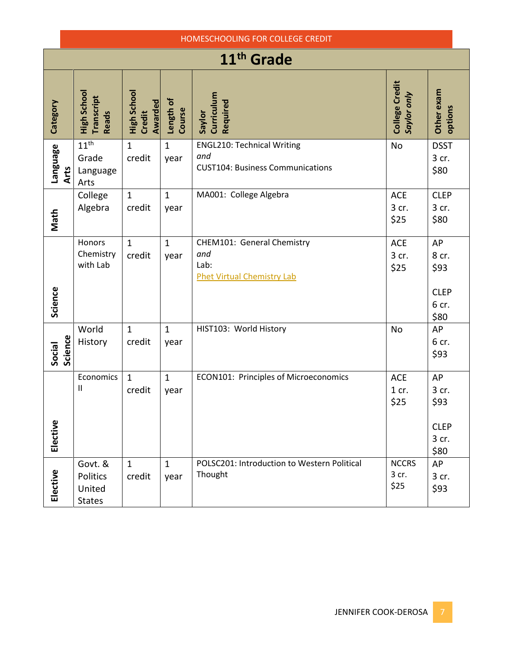|                        | HOMESCHOOLING FOR COLLEGE CREDIT                      |                                         |                      |                                                                                     |                               |                                                     |  |  |  |
|------------------------|-------------------------------------------------------|-----------------------------------------|----------------------|-------------------------------------------------------------------------------------|-------------------------------|-----------------------------------------------------|--|--|--|
| 11 <sup>th</sup> Grade |                                                       |                                         |                      |                                                                                     |                               |                                                     |  |  |  |
| Category               | High School<br>Transcript<br><b>Reads</b>             | High School<br><b>Awarded</b><br>Credit | Length of<br>Course  | Curriculum<br>Required<br>Saylor                                                    | College Credit<br>Saylor only | Other exam<br>options                               |  |  |  |
| Language               | 11 <sup>th</sup><br>Grade<br>Arts<br>Language<br>Arts | $\mathbf{1}$<br>credit                  | $\mathbf{1}$<br>year | <b>ENGL210: Technical Writing</b><br>and<br><b>CUST104: Business Communications</b> | <b>No</b>                     | <b>DSST</b><br>3 cr.<br>\$80                        |  |  |  |
| Math                   | College<br>Algebra                                    | $\mathbf{1}$<br>credit                  | $\mathbf{1}$<br>year | MA001: College Algebra                                                              | <b>ACE</b><br>3 cr.<br>\$25   | <b>CLEP</b><br>3 cr.<br>\$80                        |  |  |  |
| Science                | Honors<br>Chemistry<br>with Lab                       | $\mathbf{1}$<br>credit                  | $\mathbf{1}$<br>year | CHEM101: General Chemistry<br>and<br>Lab:<br><b>Phet Virtual Chemistry Lab</b>      | <b>ACE</b><br>3 cr.<br>\$25   | AP<br>8 cr.<br>\$93<br><b>CLEP</b><br>6 cr.<br>\$80 |  |  |  |
| Social                 | World<br>Science<br>History                           | $\mathbf{1}$<br>credit                  | $\mathbf{1}$<br>year | HIST103: World History                                                              | No                            | AP<br>6 cr.<br>\$93                                 |  |  |  |
| Elective               | Economics<br>Ш                                        | $\mathbf{1}$<br>credit                  | $\mathbf{1}$<br>year | ECON101: Principles of Microeconomics                                               | <b>ACE</b><br>1 cr.<br>\$25   | AP<br>3 cr.<br>\$93<br><b>CLEP</b><br>3 cr.<br>\$80 |  |  |  |
| Elective               | Govt. &<br>Politics<br>United<br><b>States</b>        | $\mathbf{1}$<br>credit                  | $\mathbf{1}$<br>year | POLSC201: Introduction to Western Political<br>Thought                              | <b>NCCRS</b><br>3 cr.<br>\$25 | AP<br>3 cr.<br>\$93                                 |  |  |  |